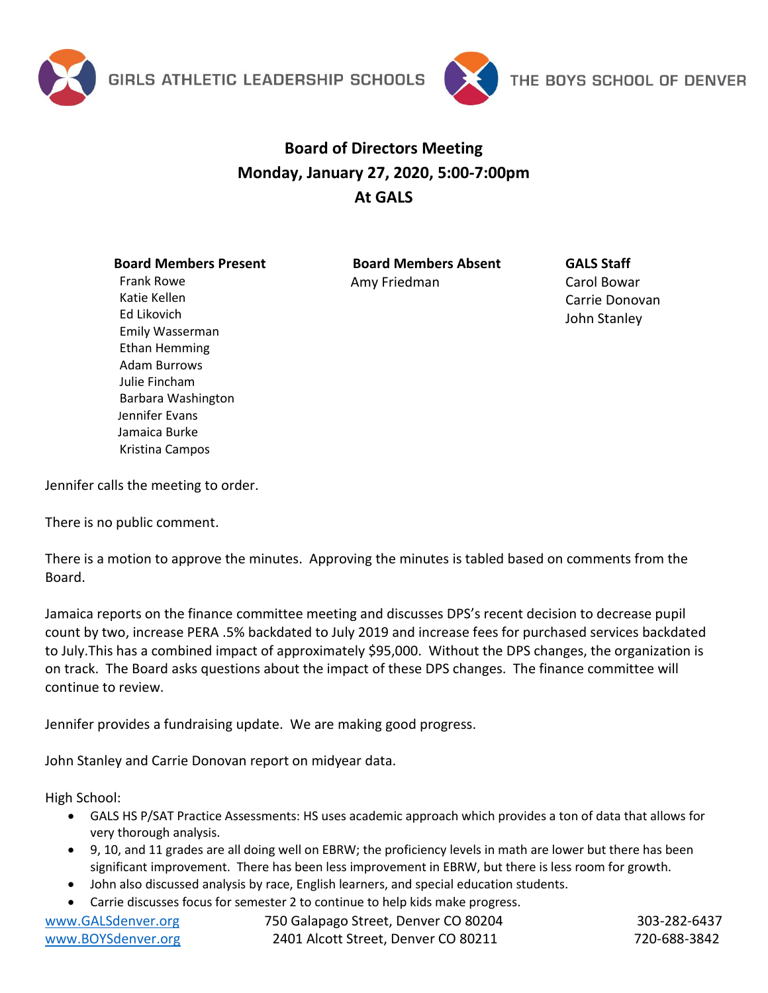



## **Board of Directors Meeting Monday, January 27, 2020, 5:00-7:00pm At GALS**

## **Board Members Present**

Frank Rowe Katie Kellen Ed Likovich

Emily Wasserman Ethan Hemming Adam Burrows Julie Fincham

Barbara Washington Jennifer Evans Jamaica Burke Kristina Campos

**Board Members Absent** Amy Friedman

**GALS Staff** 

Carol Bowar Carrie Donovan John Stanley

Jennifer calls the meeting to order.

There is no public comment.

There is a motion to approve the minutes. Approving the minutes is tabled based on comments from the Board.

Jamaica reports on the finance committee meeting and discusses DPS's recent decision to decrease pupil count by two, increase PERA .5% backdated to July 2019 and increase fees for purchased services backdated to July.This has a combined impact of approximately \$95,000. Without the DPS changes, the organization is on track. The Board asks questions about the impact of these DPS changes. The finance committee will continue to review.

Jennifer provides a fundraising update. We are making good progress.

John Stanley and Carrie Donovan report on midyear data.

High School:

- GALS HS P/SAT Practice Assessments: HS uses academic approach which provides a ton of data that allows for very thorough analysis.
- 9, 10, and 11 grades are all doing well on EBRW; the proficiency levels in math are lower but there has been significant improvement. There has been less improvement in EBRW, but there is less room for growth.
- John also discussed analysis by race, English learners, and special education students.
- Carrie discusses focus for semester 2 to continue to help kids make progress.

| www.GALSdenver.org | 750 Galapago Street, Denver CO 80204 | 303-282-6437 |
|--------------------|--------------------------------------|--------------|
| www.BOYSdenver.org | 2401 Alcott Street, Denver CO 80211  | 720-688-3842 |